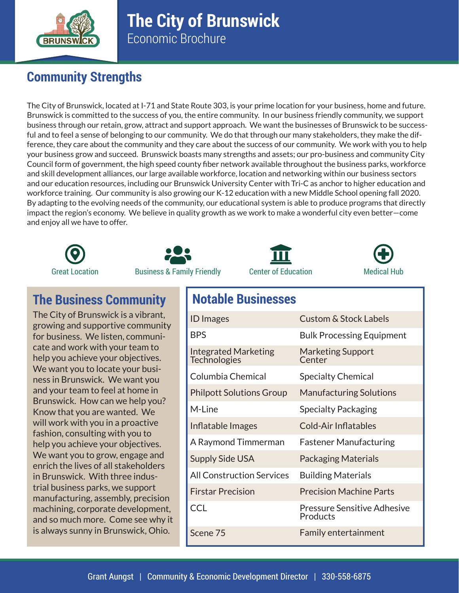

## **The City of Brunswick** Economic Brochure

## **Community Strengths**

The City of Brunswick, located at I-71 and State Route 303, is your prime location for your business, home and future. Brunswick is committed to the success of you, the entire community. In our business friendly community, we support business through our retain, grow, attract and support approach. We want the businesses of Brunswick to be successful and to feel a sense of belonging to our community. We do that through our many stakeholders, they make the difference, they care about the community and they care about the success of our community. We work with you to help your business grow and succeed. Brunswick boasts many strengths and assets; our pro-business and community City Council form of government, the high speed county fiber network available throughout the business parks, workforce and skill development alliances, our large available workforce, location and networking within our business sectors and our education resources, including our Brunswick University Center with Tri-C as anchor to higher education and workforce training. Our community is also growing our K-12 education with a new Middle School opening fall 2020. By adapting to the evolving needs of the community, our educational system is able to produce programs that directly impact the region's economy. We believe in quality growth as we work to make a wonderful city even better—come and enjoy all we have to offer.









## **The Business Community Notable Businesses**

The City of Brunswick is a vibrant, growing and supportive community for business. We listen, communicate and work with your team to help you achieve your objectives. We want you to locate your business in Brunswick. We want you and your team to feel at home in Brunswick. How can we help you? Know that you are wanted. We will work with you in a proactive fashion, consulting with you to help you achieve your objectives. We want you to grow, engage and enrich the lives of all stakeholders in Brunswick. With three industrial business parks, we support manufacturing, assembly, precision machining, corporate development, and so much more. Come see why it is always sunny in Brunswick, Ohio.

| <b>ID</b> Images                                   | <b>Custom &amp; Stock Labels</b>        |
|----------------------------------------------------|-----------------------------------------|
| <b>BPS</b>                                         | <b>Bulk Processing Equipment</b>        |
| <b>Integrated Marketing</b><br><b>Technologies</b> | <b>Marketing Support</b><br>Center      |
| Columbia Chemical                                  | <b>Specialty Chemical</b>               |
| <b>Philpott Solutions Group</b>                    | <b>Manufacturing Solutions</b>          |
| M-Line                                             | <b>Specialty Packaging</b>              |
| Inflatable Images                                  | Cold-Air Inflatables                    |
| A Raymond Timmerman                                | <b>Fastener Manufacturing</b>           |
| <b>Supply Side USA</b>                             | <b>Packaging Materials</b>              |
| <b>All Construction Services</b>                   | <b>Building Materials</b>               |
| <b>Firstar Precision</b>                           | <b>Precision Machine Parts</b>          |
| <b>CCL</b>                                         | Pressure Sensitive Adhesive<br>Products |
| Scene 75                                           | <b>Family entertainment</b>             |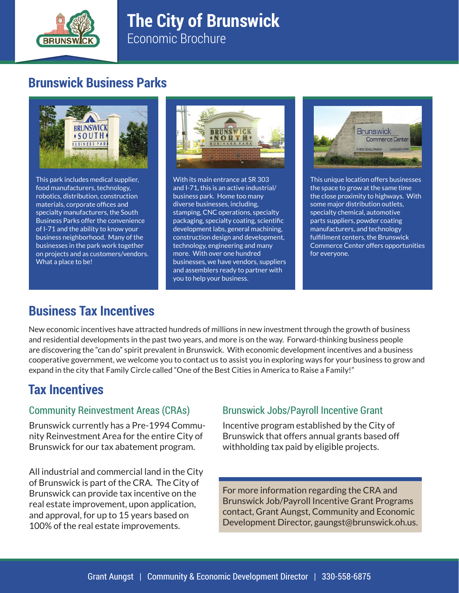

# **The City of Brunswick**

Economic Brochure

## **Brunswick Business Parks**



This park includes medical supplier, food manufacturers, technology, robotics, distribution, construction materials, corporate offices and specialty manufacturers, the South Business Parks offer the convenience of I-71 and the ability to know your business neighborhood. Many of the businesses in the park work together on projects and as customers/vendors. What a place to be!



With its main entrance at SR 303 and I-71, this is an active industrial/ business park. Home too many diverse businesses, including, stamping, CNC operations, specialty packaging, specialty coating, scientific development labs, general machining, construction design and development, technology, engineering and many more. With over one hundred businesses, we have vendors, suppliers and assemblers ready to partner with you to help your business.



This unique location offers businesses the space to grow at the same time the close proximity to highways. With some major distribution outlets, specialty chemical, automotive parts suppliers, powder coating manufacturers, and technology fulfillment centers, the Brunswick Commerce Center offers opportunities for everyone.

## **Business Tax Incentives**

New economic incentives have attracted hundreds of millions in new investment through the growth of business and residential developments in the past two years, and more is on the way. Forward-thinking business people are discovering the "can do" spirit prevalent in Brunswick. With economic development incentives and a business cooperative government, we welcome you to contact us to assist you in exploring ways for your business to grow and expand in the city that Family Circle called "One of the Best Cities in America to Raise a Family!"

#### **Tax Incentives**

#### Community Reinvestment Areas (CRAs)

Brunswick currently has a Pre-1994 Community Reinvestment Area for the entire City of Brunswick for our tax abatement program.

All industrial and commercial land in the City of Brunswick is part of the CRA. The City of Brunswick can provide tax incentive on the real estate improvement, upon application, and approval, for up to 15 years based on 100% of the real estate improvements.

#### Brunswick Jobs/Payroll Incentive Grant

Incentive program established by the City of Brunswick that offers annual grants based off withholding tax paid by eligible projects.

For more information regarding the CRA and Brunswick Job/Payroll Incentive Grant Programs contact, Grant Aungst, Community and Economic Development Director, gaungst@brunswick.oh.us.